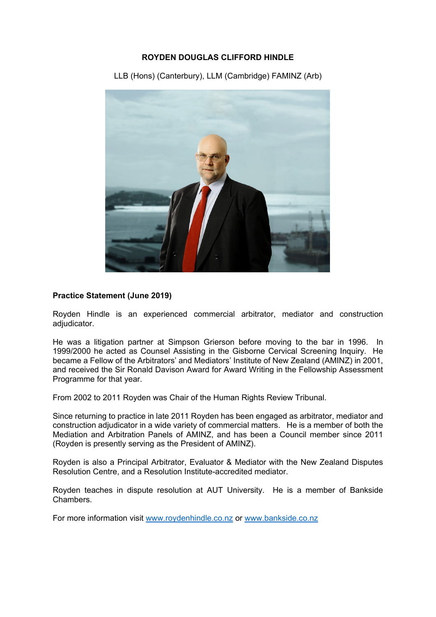### **ROYDEN DOUGLAS CLIFFORD HINDLE**

LLB (Hons) (Canterbury), LLM (Cambridge) FAMINZ (Arb)



### **Practice Statement (June 2019)**

Royden Hindle is an experienced commercial arbitrator, mediator and construction adjudicator.

He was a litigation partner at Simpson Grierson before moving to the bar in 1996. In 1999/2000 he acted as Counsel Assisting in the Gisborne Cervical Screening Inquiry. He became a Fellow of the Arbitrators' and Mediators' Institute of New Zealand (AMINZ) in 2001, and received the Sir Ronald Davison Award for Award Writing in the Fellowship Assessment Programme for that year.

From 2002 to 2011 Royden was Chair of the Human Rights Review Tribunal.

Since returning to practice in late 2011 Royden has been engaged as arbitrator, mediator and construction adjudicator in a wide variety of commercial matters. He is a member of both the Mediation and Arbitration Panels of AMINZ, and has been a Council member since 2011 (Royden is presently serving as the President of AMINZ).

Royden is also a Principal Arbitrator, Evaluator & Mediator with the New Zealand Disputes Resolution Centre, and a Resolution Institute-accredited mediator.

Royden teaches in dispute resolution at AUT University. He is a member of Bankside Chambers.

For more information visit www.roydenhindle.co.nz or www.bankside.co.nz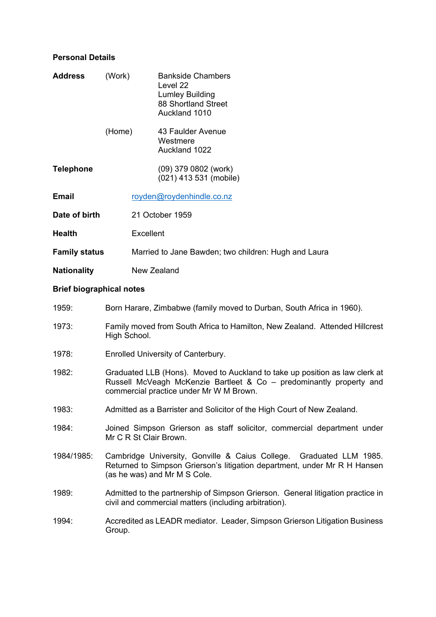## **Personal Details**

| Address                                                                      | (Work)                                                                                                                                                                                        | <b>Bankside Chambers</b><br>Level 22<br><b>Lumley Building</b><br>88 Shortland Street<br>Auckland 1010 |
|------------------------------------------------------------------------------|-----------------------------------------------------------------------------------------------------------------------------------------------------------------------------------------------|--------------------------------------------------------------------------------------------------------|
|                                                                              | (Home)                                                                                                                                                                                        | 43 Faulder Avenue<br>Westmere<br>Auckland 1022                                                         |
| <b>Telephone</b>                                                             |                                                                                                                                                                                               | (09) 379 0802 (work)<br>(021) 413 531 (mobile)                                                         |
| Email                                                                        |                                                                                                                                                                                               | royden@roydenhindle.co.nz                                                                              |
| Date of birth                                                                |                                                                                                                                                                                               | 21 October 1959                                                                                        |
| Health                                                                       | Excellent                                                                                                                                                                                     |                                                                                                        |
| <b>Family status</b><br>Married to Jane Bawden; two children: Hugh and Laura |                                                                                                                                                                                               |                                                                                                        |
| <b>Nationality</b>                                                           |                                                                                                                                                                                               | New Zealand                                                                                            |
| <b>Brief biographical notes</b>                                              |                                                                                                                                                                                               |                                                                                                        |
| 1959:                                                                        | Born Harare, Zimbabwe (family moved to Durban, South Africa in 1960).                                                                                                                         |                                                                                                        |
| 1973:                                                                        | Family moved from South Africa to Hamilton, New Zealand. Attended Hillcrest<br>High School.                                                                                                   |                                                                                                        |
| 1978:                                                                        | Enrolled University of Canterbury.                                                                                                                                                            |                                                                                                        |
| 1982:                                                                        | Graduated LLB (Hons). Moved to Auckland to take up position as law clerk at<br>Russell McVeagh McKenzie Bartleet & Co – predominantly property and<br>commercial practice under Mr W M Brown. |                                                                                                        |
| 1983:                                                                        | Admitted as a Barrister and Solicitor of the High Court of New Zealand.                                                                                                                       |                                                                                                        |
| 1984:                                                                        | Joined Simpson Grierson as staff solicitor, commercial department under<br>Mr C R St Clair Brown.                                                                                             |                                                                                                        |
| 1984/1985:                                                                   | Cambridge University, Gonville & Caius College. Graduated LLM 1985.<br>Returned to Simpson Grierson's litigation department, under Mr R H Hansen<br>(as he was) and Mr M S Cole.              |                                                                                                        |
| 1989:                                                                        | Admitted to the partnership of Simpson Grierson. General litigation practice in<br>civil and commercial matters (including arbitration).                                                      |                                                                                                        |
| 1994:                                                                        | Accredited as LEADR mediator. Leader, Simpson Grierson Litigation Business<br>Group.                                                                                                          |                                                                                                        |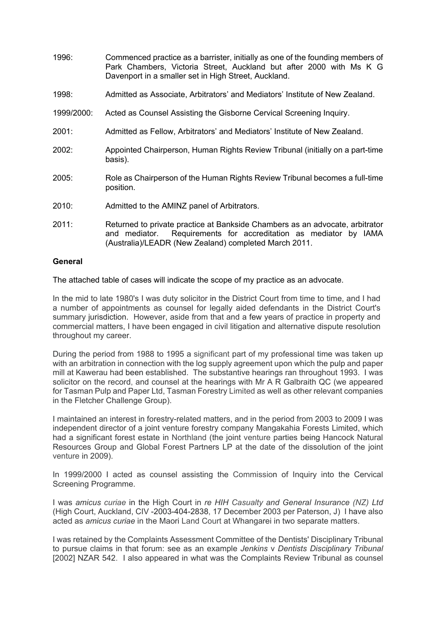1996: Commenced practice as a barrister, initially as one of the founding members of Park Chambers, Victoria Street, Auckland but after 2000 with Ms K G Davenport in a smaller set in High Street, Auckland. 1998: Admitted as Associate, Arbitrators' and Mediators' Institute of New Zealand. 1999/2000: Acted as Counsel Assisting the Gisborne Cervical Screening Inquiry. 2001: Admitted as Fellow, Arbitrators' and Mediators' Institute of New Zealand. 2002: Appointed Chairperson, Human Rights Review Tribunal (initially on a part-time basis). 2005: Role as Chairperson of the Human Rights Review Tribunal becomes a full-time position. 2010: Admitted to the AMINZ panel of Arbitrators. 2011: Returned to private practice at Bankside Chambers as an advocate, arbitrator and mediator. Requirements for accreditation as mediator by IAMA (Australia)/LEADR (New Zealand) completed March 2011.

### **General**

The attached table of cases will indicate the scope of my practice as an advocate.

In the mid to late 1980's I was duty solicitor in the District Court from time to time, and I had a number of appointments as counsel for legally aided defendants in the District Court's summary jurisdiction. However, aside from that and a few years of practice in property and commercial matters, I have been engaged in civil litigation and alternative dispute resolution throughout my career.

During the period from 1988 to 1995 a significant part of my professional time was taken up with an arbitration in connection with the log supply agreement upon which the pulp and paper mill at Kawerau had been established. The substantive hearings ran throughout 1993. I was solicitor on the record, and counsel at the hearings with Mr A R Galbraith QC (we appeared for Tasman Pulp and Paper Ltd, Tasman Forestry Limited as well as other relevant companies in the Fletcher Challenge Group).

I maintained an interest in forestry-related matters, and in the period from 2003 to 2009 I was independent director of a joint venture forestry company Mangakahia Forests Limited, which had a significant forest estate in Northland (the joint venture parties being Hancock Natural Resources Group and Global Forest Partners LP at the date of the dissolution of the joint venture in 2009).

In 1999/2000 I acted as counsel assisting the Commission of Inquiry into the Cervical Screening Programme.

I was *amicus curiae* in the High Court in *re HIH Casualty and General Insurance (NZ) Ltd*  (High Court, Auckland, CIV -2003-404-2838, 17 December 2003 per Paterson, J) I have also acted as *amicus curiae* in the Maori Land Court at Whangarei in two separate matters.

I was retained by the Complaints Assessment Committee of the Dentists' Disciplinary Tribunal to pursue claims in that forum: see as an example *Jenkins* v *Dentists Disciplinary Tribunal*  [2002] NZAR 542. I also appeared in what was the Complaints Review Tribunal as counsel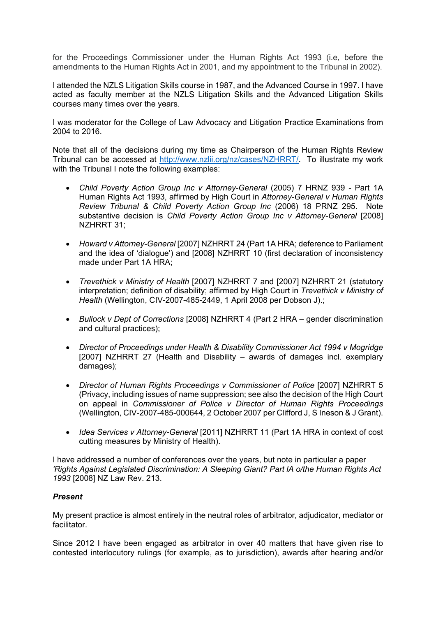for the Proceedings Commissioner under the Human Rights Act 1993 (i.e, before the amendments to the Human Rights Act in 2001, and my appointment to the Tribunal in 2002).

I attended the NZLS Litigation Skills course in 1987, and the Advanced Course in 1997. I have acted as faculty member at the NZLS Litigation Skills and the Advanced Litigation Skills courses many times over the years.

I was moderator for the College of Law Advocacy and Litigation Practice Examinations from 2004 to 2016.

Note that all of the decisions during my time as Chairperson of the Human Rights Review Tribunal can be accessed at http://www.nzlii.org/nz/cases/NZHRRT/. To illustrate my work with the Tribunal I note the following examples:

- *Child Poverty Action Group Inc v Attorney-General* (2005) 7 HRNZ 939 Part 1A Human Rights Act 1993, affirmed by High Court in *Attorney-General v Human Rights Review Tribunal & Child Poverty Action Group Inc* (2006) 18 PRNZ 295. Note substantive decision is *Child Poverty Action Group Inc v Attorney-General* [2008] NZHRRT 31;
- *Howard v Attorney-General* [2007] NZHRRT 24 (Part 1A HRA; deference to Parliament and the idea of 'dialogue') and [2008] NZHRRT 10 (first declaration of inconsistency made under Part 1A HRA;
- *Trevethick v Ministry of Health* [2007] NZHRRT 7 and [2007] NZHRRT 21 (statutory interpretation; definition of disability; affirmed by High Court in *Trevethick v Ministry of Health* (Wellington, CIV-2007-485-2449, 1 April 2008 per Dobson J).;
- *Bullock v Dept of Corrections* [2008] NZHRRT 4 (Part 2 HRA gender discrimination and cultural practices);
- *Director of Proceedings under Health & Disability Commissioner Act 1994 v Mogridge* [2007] NZHRRT 27 (Health and Disability – awards of damages incl. exemplary damages);
- *Director of Human Rights Proceedings v Commissioner of Police* [2007] NZHRRT 5 (Privacy, including issues of name suppression; see also the decision of the High Court on appeal in *Commissioner of Police v Director of Human Rights Proceedings* (Wellington, CIV-2007-485-000644, 2 October 2007 per Clifford J, S Ineson & J Grant).
- *Idea Services v Attorney-General* [2011] NZHRRT 11 (Part 1A HRA in context of cost cutting measures by Ministry of Health).

I have addressed a number of conferences over the years, but note in particular a paper *'Rights Against Legislated Discrimination: A Sleeping Giant? Part lA o/the Human Rights Act 1993* [2008] NZ Law Rev. 213.

### *Present*

My present practice is almost entirely in the neutral roles of arbitrator, adjudicator, mediator or facilitator.

Since 2012 I have been engaged as arbitrator in over 40 matters that have given rise to contested interlocutory rulings (for example, as to jurisdiction), awards after hearing and/or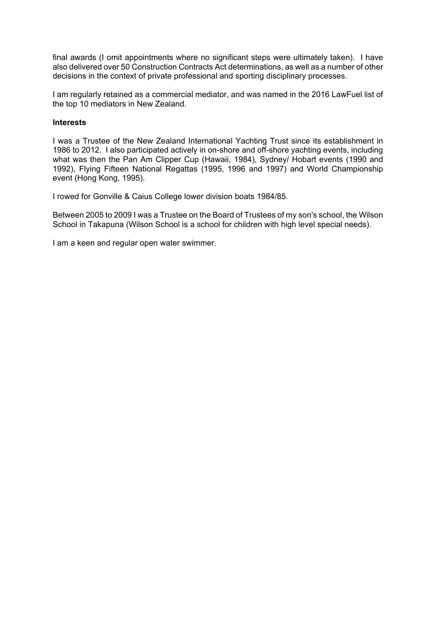final awards (I omit appointments where no significant steps were ultimately taken). I have also delivered over 50 Construction Contracts Act determinations, as well as a number of other decisions in the context of private professional and sporting disciplinary processes.

I am regularly retained as a commercial mediator, and was named in the 2016 LawFuel list of the top 10 mediators in New Zealand.

#### **Interests**

I was a Trustee of the New Zealand International Yachting Trust since its establishment in 1986 to 2012. I also participated actively in on-shore and off-shore yachting events, including what was then the Pan Am Clipper Cup (Hawaii, 1984), Sydney/ Hobart events (1990 and 1992), Flying Fifteen National Regattas (1995, 1996 and 1997) and World Championship event (Hong Kong, 1995).

I rowed for Gonville & Caius College lower division boats 1984/85.

Between 2005 to 2009 I was a Trustee on the Board of Trustees of my son's school, the Wilson School in Takapuna (Wilson School is a school for children with high level special needs).

I am a keen and regular open water swimmer.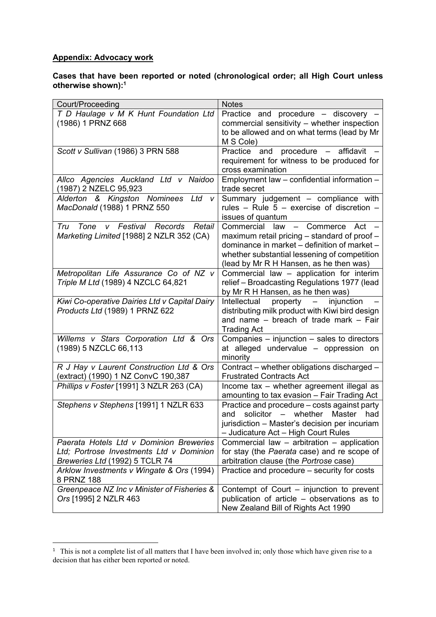# **Appendix: Advocacy work**

#### **Cases that have been reported or noted (chronological order; all High Court unless otherwise shown):1**

| Court/Proceeding                                                                        | <b>Notes</b>                                                                                                          |
|-----------------------------------------------------------------------------------------|-----------------------------------------------------------------------------------------------------------------------|
| T D Haulage v M K Hunt Foundation Ltd                                                   | Practice and procedure - discovery -                                                                                  |
| (1986) 1 PRNZ 668                                                                       | commercial sensitivity - whether inspection                                                                           |
|                                                                                         | to be allowed and on what terms (lead by Mr                                                                           |
| Scott v Sullivan (1986) 3 PRN 588                                                       | M S Cole)<br>procedure -<br>affidavit<br>Practice<br>and                                                              |
|                                                                                         | requirement for witness to be produced for                                                                            |
|                                                                                         | cross examination                                                                                                     |
| Allco Agencies Auckland Ltd v Naidoo                                                    | Employment law - confidential information -                                                                           |
| (1987) 2 NZELC 95,923                                                                   | trade secret                                                                                                          |
| Alderton & Kingston Nominees<br>Ltd v                                                   | Summary judgement - compliance with                                                                                   |
| MacDonald (1988) 1 PRNZ 550                                                             | rules - Rule $5$ - exercise of discretion -                                                                           |
|                                                                                         | issues of quantum                                                                                                     |
| v Festival Records<br>Retail<br>Tru<br>Tone<br>Marketing Limited [1988] 2 NZLR 352 (CA) | Commercial<br>law<br>Act<br>Commerce<br>$\overline{\phantom{0}}$<br>maximum retail pricing – standard of proof –      |
|                                                                                         | dominance in market – definition of market –                                                                          |
|                                                                                         | whether substantial lessening of competition                                                                          |
|                                                                                         | (lead by Mr R H Hansen, as he then was)                                                                               |
| Metropolitan Life Assurance Co of NZ v                                                  | Commercial law - application for interim                                                                              |
| Triple M Ltd (1989) 4 NZCLC 64,821                                                      | relief - Broadcasting Regulations 1977 (lead                                                                          |
|                                                                                         | by Mr R H Hansen, as he then was)                                                                                     |
| Kiwi Co-operative Dairies Ltd v Capital Dairy<br>Products Ltd (1989) 1 PRNZ 622         | Intellectual<br>injunction<br>property<br>$\overline{\phantom{m}}$<br>distributing milk product with Kiwi bird design |
|                                                                                         | and name - breach of trade mark - Fair                                                                                |
|                                                                                         | <b>Trading Act</b>                                                                                                    |
| Willems v Stars Corporation Ltd & Ors                                                   | Companies - injunction - sales to directors                                                                           |
| (1989) 5 NZCLC 66,113                                                                   | at alleged undervalue - oppression on                                                                                 |
|                                                                                         | minority                                                                                                              |
| R J Hay v Laurent Construction Ltd & Ors                                                | Contract - whether obligations discharged -                                                                           |
| (extract) (1990) 1 NZ ConvC 190,387<br>Phillips v Foster [1991] 3 NZLR 263 (CA)         | <b>Frustrated Contracts Act</b><br>Income tax - whether agreement illegal as                                          |
|                                                                                         | amounting to tax evasion - Fair Trading Act                                                                           |
| Stephens v Stephens [1991] 1 NZLR 633                                                   | Practice and procedure - costs against party                                                                          |
|                                                                                         | solicitor<br>Master<br>whether<br>and<br>had<br>$\overline{\phantom{m}}$                                              |
|                                                                                         | jurisdiction - Master's decision per incuriam                                                                         |
|                                                                                         | - Judicature Act - High Court Rules                                                                                   |
| Paerata Hotels Ltd v Dominion Breweries                                                 | Commercial law - arbitration - application                                                                            |
| Ltd; Portrose Investments Ltd v Dominion                                                | for stay (the Paerata case) and re scope of                                                                           |
| Breweries Ltd (1992) 5 TCLR 74<br>Arklow Investments v Wingate & Ors (1994)             | arbitration clause (the Portrose case)<br>Practice and procedure – security for costs                                 |
| 8 PRNZ 188                                                                              |                                                                                                                       |
| Greenpeace NZ Inc v Minister of Fisheries &                                             |                                                                                                                       |
| Ors [1995] 2 NZLR 463                                                                   | Contempt of Court – injunction to prevent<br>publication of article – observations as to                              |

This is not a complete list of all matters that I have been involved in; only those which have given rise to a decision that has either been reported or noted.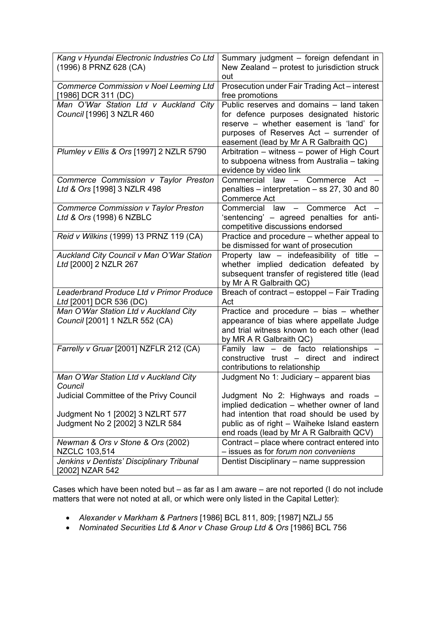| Kang v Hyundai Electronic Industries Co Ltd      | Summary judgment - foreign defendant in       |
|--------------------------------------------------|-----------------------------------------------|
|                                                  |                                               |
| (1996) 8 PRNZ 628 (CA)                           | New Zealand – protest to jurisdiction struck  |
|                                                  | out                                           |
| <b>Commerce Commission v Noel Leeming Ltd</b>    | Prosecution under Fair Trading Act - interest |
| [1986] DCR 311 (DC)                              | free promotions                               |
| Man O'War Station Ltd v Auckland City            | Public reserves and domains - land taken      |
| Council [1996] 3 NZLR 460                        | for defence purposes designated historic      |
|                                                  | reserve - whether easement is 'land' for      |
|                                                  | purposes of Reserves Act - surrender of       |
|                                                  | easement (lead by Mr A R Galbraith QC)        |
| Plumley v Ellis & Ors [1997] 2 NZLR 5790         | Arbitration - witness - power of High Court   |
|                                                  | to subpoena witness from Australia - taking   |
|                                                  | evidence by video link                        |
| Commerce Commission v Taylor Preston             | Commercial law - Commerce<br>Act              |
|                                                  |                                               |
| Ltd & Ors [1998] 3 NZLR 498                      | penalties – interpretation – ss 27, 30 and 80 |
|                                                  | Commerce Act                                  |
| <b>Commerce Commission v Taylor Preston</b>      | Commercial law - Commerce Act -               |
| Ltd & Ors (1998) 6 NZBLC                         | 'sentencing' - agreed penalties for anti-     |
|                                                  | competitive discussions endorsed              |
| Reid v Wilkins (1999) 13 PRNZ 119 (CA)           | Practice and procedure – whether appeal to    |
|                                                  | be dismissed for want of prosecution          |
| Auckland City Council v Man O'War Station        | Property law - indefeasibility of title -     |
| Ltd [2000] 2 NZLR 267                            | whether implied dedication defeated by        |
|                                                  | subsequent transfer of registered title (lead |
|                                                  | by Mr A R Galbraith QC)                       |
| Leaderbrand Produce Ltd v Primor Produce         | Breach of contract - estoppel - Fair Trading  |
| Ltd [2001] DCR 536 (DC)                          | Act                                           |
| Man O'War Station Ltd v Auckland City            | Practice and procedure $-$ bias $-$ whether   |
| Council [2001] 1 NZLR 552 (CA)                   | appearance of bias where appellate Judge      |
|                                                  | and trial witness known to each other (lead   |
|                                                  | by MR A R Galbraith QC)                       |
| Farrelly v Gruar [2001] NZFLR 212 (CA)           | Family law - de facto relationships -         |
|                                                  | constructive trust - direct and indirect      |
|                                                  |                                               |
|                                                  | contributions to relationship                 |
| Man O'War Station Ltd v Auckland City<br>Council | Judgment No 1: Judiciary – apparent bias      |
|                                                  |                                               |
| Judicial Committee of the Privy Council          | Judgment No 2: Highways and roads -           |
|                                                  | implied dedication - whether owner of land    |
| Judgment No 1 [2002] 3 NZLRT 577                 | had intention that road should be used by     |
| Judgment No 2 [2002] 3 NZLR 584                  | public as of right - Waiheke Island eastern   |
|                                                  | end roads (lead by Mr A R Galbraith QCV)      |
| Newman & Ors v Stone & Ors (2002)                | Contract - place where contract entered into  |
| NZCLC 103,514                                    | - issues as for forum non conveniens          |
| Jenkins v Dentists' Disciplinary Tribunal        | Dentist Disciplinary - name suppression       |
| [2002] NZAR 542                                  |                                               |

Cases which have been noted but – as far as I am aware – are not reported (I do not include matters that were not noted at all, or which were only listed in the Capital Letter):

- *Alexander v Markham & Partners* [1986] BCL 811, 809; [1987] NZLJ 55
- Nominated Securities Ltd & Anor v Chase Group Ltd & Ors [1986] BCL 756